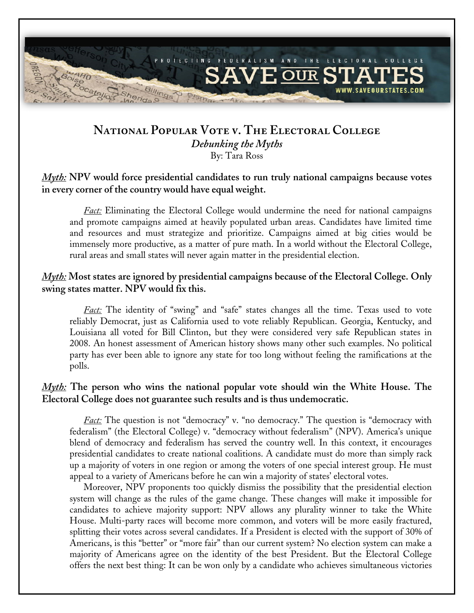

# **National Popular Vote v. The Electoral College**  *Debunking the Myths*  By: Tara Ross

### *Myth:* **NPV would force presidential candidates to run truly national campaigns because votes in every corner of the country would have equal weight.**

*Fact:* Eliminating the Electoral College would undermine the need for national campaigns and promote campaigns aimed at heavily populated urban areas. Candidates have limited time and resources and must strategize and prioritize. Campaigns aimed at big cities would be immensely more productive, as a matter of pure math. In a world without the Electoral College, rural areas and small states will never again matter in the presidential election.

# *Myth:* **Most states are ignored by presidential campaigns because of the Electoral College. Only swing states matter. NPV would fix this.**

*Fact:* The identity of "swing" and "safe" states changes all the time. Texas used to vote reliably Democrat, just as California used to vote reliably Republican. Georgia, Kentucky, and Louisiana all voted for Bill Clinton, but they were considered very safe Republican states in 2008. An honest assessment of American history shows many other such examples. No political party has ever been able to ignore any state for too long without feeling the ramifications at the polls.

# *Myth:* **The person who wins the national popular vote should win the White House. The Electoral College does not guarantee such results and is thus undemocratic.**

*Fact:* The question is not "democracy" v. "no democracy." The question is "democracy with federalism" (the Electoral College) v. "democracy without federalism" (NPV). America's unique blend of democracy and federalism has served the country well. In this context, it encourages presidential candidates to create national coalitions. A candidate must do more than simply rack up a majority of voters in one region or among the voters of one special interest group. He must appeal to a variety of Americans before he can win a majority of states' electoral votes.

Moreover, NPV proponents too quickly dismiss the possibility that the presidential election system will change as the rules of the game change. These changes will make it impossible for candidates to achieve majority support: NPV allows any plurality winner to take the White House. Multi-party races will become more common, and voters will be more easily fractured, splitting their votes across several candidates. If a President is elected with the support of 30% of Americans, is this "better" or "more fair" than our current system? No election system can make a majority of Americans agree on the identity of the best President. But the Electoral College offers the next best thing: It can be won only by a candidate who achieves simultaneous victories